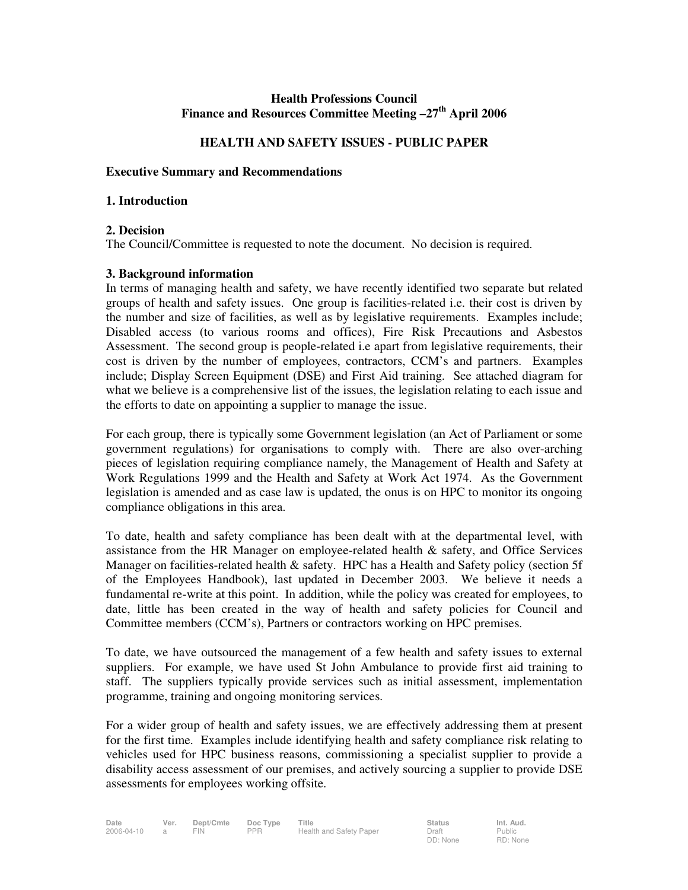# **Health Professions Council Finance and Resources Committee Meeting –27th April 2006**

# **HEALTH AND SAFETY ISSUES - PUBLIC PAPER**

### **Executive Summary and Recommendations**

### **1. Introduction**

## **2. Decision**

The Council/Committee is requested to note the document. No decision is required.

## **3. Background information**

In terms of managing health and safety, we have recently identified two separate but related groups of health and safety issues. One group is facilities-related i.e. their cost is driven by the number and size of facilities, as well as by legislative requirements. Examples include; Disabled access (to various rooms and offices), Fire Risk Precautions and Asbestos Assessment. The second group is people-related i.e apart from legislative requirements, their cost is driven by the number of employees, contractors, CCM's and partners. Examples include; Display Screen Equipment (DSE) and First Aid training. See attached diagram for what we believe is a comprehensive list of the issues, the legislation relating to each issue and the efforts to date on appointing a supplier to manage the issue.

For each group, there is typically some Government legislation (an Act of Parliament or some government regulations) for organisations to comply with. There are also over-arching pieces of legislation requiring compliance namely, the Management of Health and Safety at Work Regulations 1999 and the Health and Safety at Work Act 1974. As the Government legislation is amended and as case law is updated, the onus is on HPC to monitor its ongoing compliance obligations in this area.

To date, health and safety compliance has been dealt with at the departmental level, with assistance from the HR Manager on employee-related health & safety, and Office Services Manager on facilities-related health  $\&$  safety. HPC has a Health and Safety policy (section 5f of the Employees Handbook), last updated in December 2003. We believe it needs a fundamental re-write at this point. In addition, while the policy was created for employees, to date, little has been created in the way of health and safety policies for Council and Committee members (CCM's), Partners or contractors working on HPC premises.

To date, we have outsourced the management of a few health and safety issues to external suppliers. For example, we have used St John Ambulance to provide first aid training to staff. The suppliers typically provide services such as initial assessment, implementation programme, training and ongoing monitoring services.

For a wider group of health and safety issues, we are effectively addressing them at present for the first time. Examples include identifying health and safety compliance risk relating to vehicles used for HPC business reasons, commissioning a specialist supplier to provide a disability access assessment of our premises, and actively sourcing a supplier to provide DSE assessments for employees working offsite.